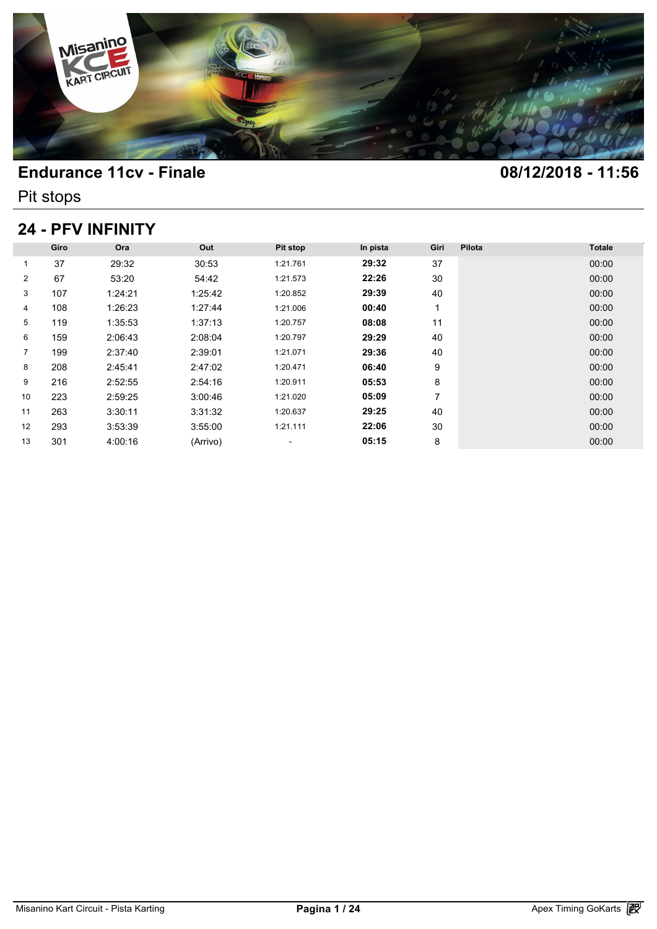

Pit stops

## **24 - PFV INFINITY**

|                |      | <b>24 - PFV INFINITY</b> |          |                          |          |      |        |               |
|----------------|------|--------------------------|----------|--------------------------|----------|------|--------|---------------|
|                | Giro | Ora                      | Out      | Pit stop                 | In pista | Giri | Pilota | <b>Totale</b> |
| 1              | 37   | 29:32                    | 30:53    | 1:21.761                 | 29:32    | 37   |        | 00:00         |
| $\overline{2}$ | 67   | 53:20                    | 54:42    | 1:21.573                 | 22:26    | 30   |        | 00:00         |
| 3              | 107  | 1:24:21                  | 1:25:42  | 1:20.852                 | 29:39    | 40   |        | 00:00         |
| 4              | 108  | 1:26:23                  | 1:27:44  | 1:21.006                 | 00:40    | 1    |        | 00:00         |
| 5              | 119  | 1:35:53                  | 1:37:13  | 1:20.757                 | 08:08    | 11   |        | 00:00         |
| 6              | 159  | 2:06:43                  | 2:08:04  | 1:20.797                 | 29:29    | 40   |        | 00:00         |
| $\overline{7}$ | 199  | 2:37:40                  | 2:39:01  | 1:21.071                 | 29:36    | 40   |        | 00:00         |
| 8              | 208  | 2:45:41                  | 2:47:02  | 1:20.471                 | 06:40    | 9    |        | 00:00         |
| 9              | 216  | 2:52:55                  | 2:54:16  | 1:20.911                 | 05:53    | 8    |        | 00:00         |
| 10             | 223  | 2:59:25                  | 3:00:46  | 1:21.020                 | 05:09    | 7    |        | 00:00         |
| 11             | 263  | 3:30:11                  | 3:31:32  | 1:20.637                 | 29:25    | 40   |        | 00:00         |
| 12             | 293  | 3:53:39                  | 3:55:00  | 1:21.111                 | 22:06    | 30   |        | 00:00         |
| 13             | 301  | 4:00:16                  | (Arrivo) | $\overline{\phantom{a}}$ | 05:15    | 8    |        | 00:00         |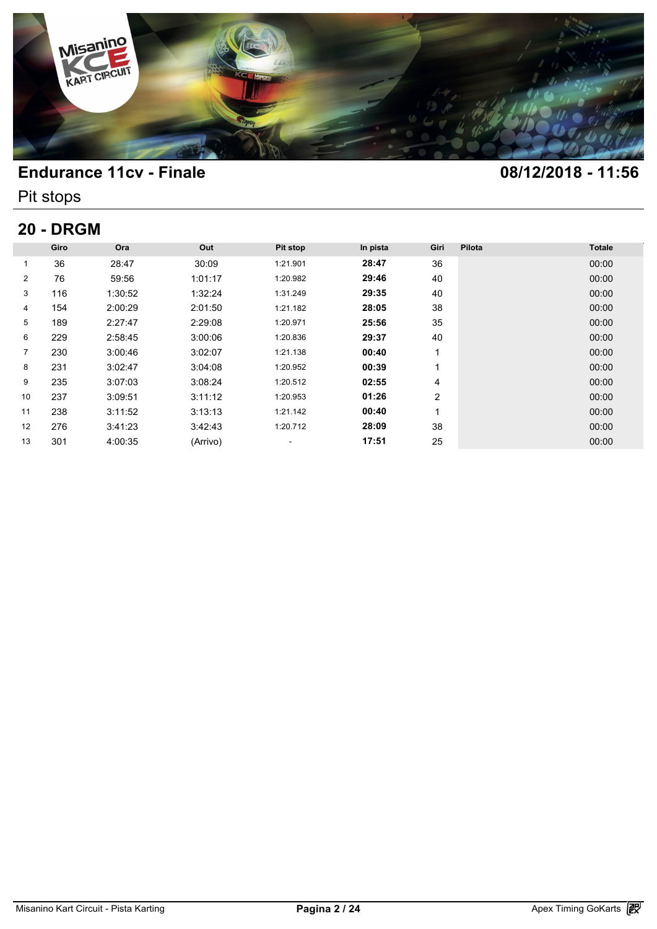

Pit stops

# **20 - DRGM**

| <b>20 - DRGM</b> |      |         |          |                          |          |                |        |               |  |  |
|------------------|------|---------|----------|--------------------------|----------|----------------|--------|---------------|--|--|
|                  | Giro | Ora     | Out      | Pit stop                 | In pista | Giri           | Pilota | <b>Totale</b> |  |  |
| 1                | 36   | 28:47   | 30:09    | 1:21.901                 | 28:47    | 36             |        | 00:00         |  |  |
| $\overline{2}$   | 76   | 59:56   | 1:01:17  | 1:20.982                 | 29:46    | 40             |        | 00:00         |  |  |
| 3                | 116  | 1:30:52 | 1:32:24  | 1:31.249                 | 29:35    | 40             |        | 00:00         |  |  |
| 4                | 154  | 2:00:29 | 2:01:50  | 1:21.182                 | 28:05    | 38             |        | 00:00         |  |  |
| 5                | 189  | 2:27:47 | 2:29:08  | 1:20.971                 | 25:56    | 35             |        | 00:00         |  |  |
| 6                | 229  | 2:58:45 | 3:00:06  | 1:20.836                 | 29:37    | 40             |        | 00:00         |  |  |
| $\overline{7}$   | 230  | 3:00:46 | 3:02:07  | 1:21.138                 | 00:40    |                |        | 00:00         |  |  |
| 8                | 231  | 3:02:47 | 3:04:08  | 1:20.952                 | 00:39    |                |        | 00:00         |  |  |
| 9                | 235  | 3:07:03 | 3:08:24  | 1:20.512                 | 02:55    | 4              |        | 00:00         |  |  |
| 10               | 237  | 3:09:51 | 3:11:12  | 1:20.953                 | 01:26    | $\overline{2}$ |        | 00:00         |  |  |
| 11               | 238  | 3:11:52 | 3:13:13  | 1:21.142                 | 00:40    | 4              |        | 00:00         |  |  |
| 12               | 276  | 3:41:23 | 3:42:43  | 1:20.712                 | 28:09    | 38             |        | 00:00         |  |  |
| 13               | 301  | 4:00:35 | (Arrivo) | $\overline{\phantom{a}}$ | 17:51    | 25             |        | 00:00         |  |  |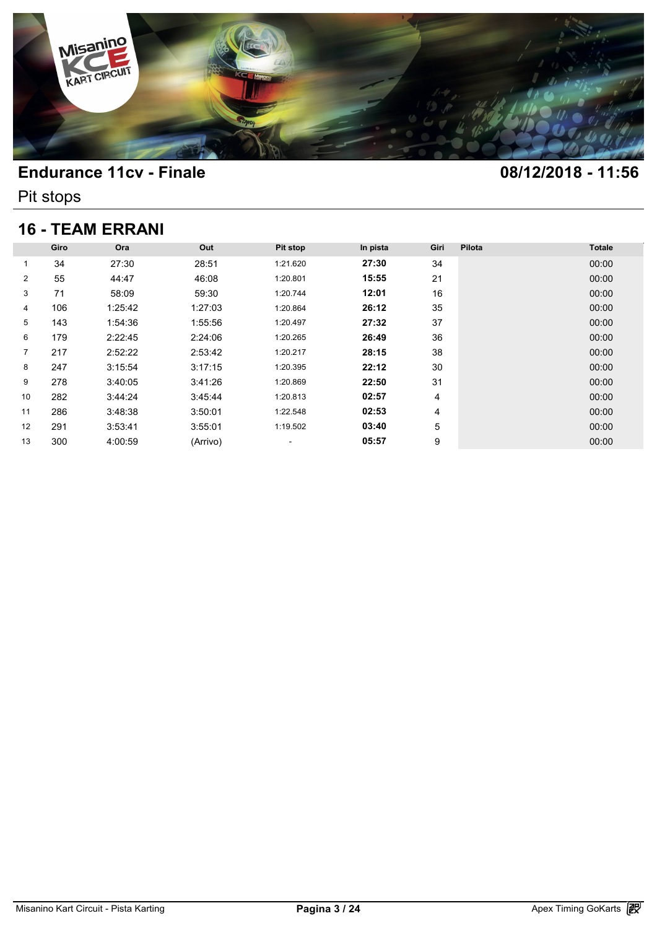

Pit stops

## **16 - TEAM ERRANI**

| <b>16 - TEAM ERRANI</b> |      |         |          |                          |          |      |        |               |  |  |
|-------------------------|------|---------|----------|--------------------------|----------|------|--------|---------------|--|--|
|                         |      |         |          |                          |          |      |        |               |  |  |
|                         | Giro | Ora     | Out      | Pit stop                 | In pista | Giri | Pilota | <b>Totale</b> |  |  |
| 1                       | 34   | 27:30   | 28:51    | 1:21.620                 | 27:30    | 34   |        | 00:00         |  |  |
| $\overline{2}$          | 55   | 44:47   | 46:08    | 1:20.801                 | 15:55    | 21   |        | 00:00         |  |  |
| 3                       | 71   | 58:09   | 59:30    | 1:20.744                 | 12:01    | 16   |        | 00:00         |  |  |
| 4                       | 106  | 1:25:42 | 1:27:03  | 1:20.864                 | 26:12    | 35   |        | 00:00         |  |  |
| 5                       | 143  | 1:54:36 | 1:55:56  | 1:20.497                 | 27:32    | 37   |        | 00:00         |  |  |
| 6                       | 179  | 2:22:45 | 2:24:06  | 1:20.265                 | 26:49    | 36   |        | 00:00         |  |  |
| $\overline{7}$          | 217  | 2:52:22 | 2:53:42  | 1:20.217                 | 28:15    | 38   |        | 00:00         |  |  |
| 8                       | 247  | 3:15:54 | 3:17:15  | 1:20.395                 | 22:12    | 30   |        | 00:00         |  |  |
| 9                       | 278  | 3:40:05 | 3:41:26  | 1:20.869                 | 22:50    | 31   |        | 00:00         |  |  |
| 10                      | 282  | 3:44:24 | 3:45:44  | 1:20.813                 | 02:57    | 4    |        | 00:00         |  |  |
| 11                      | 286  | 3:48:38 | 3:50:01  | 1:22.548                 | 02:53    | 4    |        | 00:00         |  |  |
| 12                      | 291  | 3:53:41 | 3:55:01  | 1:19.502                 | 03:40    | 5    |        | 00:00         |  |  |
| 13                      | 300  | 4:00:59 | (Arrivo) | $\overline{\phantom{a}}$ | 05:57    | 9    |        | 00:00         |  |  |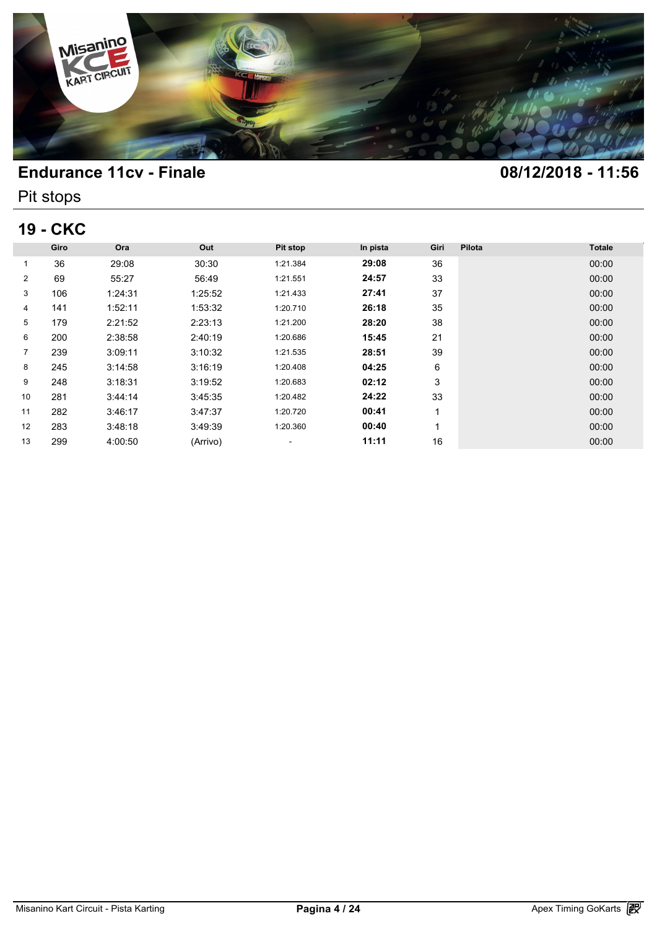

Pit stops

## **19 - CKC**

| <b>19 - CKC</b> |      |         |          |                          |          |      |        |               |  |  |
|-----------------|------|---------|----------|--------------------------|----------|------|--------|---------------|--|--|
|                 | Giro | Ora     | Out      | Pit stop                 | In pista | Giri | Pilota | <b>Totale</b> |  |  |
| 1               | 36   | 29:08   | 30:30    | 1:21.384                 | 29:08    | 36   |        | 00:00         |  |  |
| $\overline{2}$  | 69   | 55:27   | 56:49    | 1:21.551                 | 24:57    | 33   |        | 00:00         |  |  |
| 3               | 106  | 1:24:31 | 1:25:52  | 1:21.433                 | 27:41    | 37   |        | 00:00         |  |  |
| 4               | 141  | 1:52:11 | 1:53:32  | 1:20.710                 | 26:18    | 35   |        | 00:00         |  |  |
| 5               | 179  | 2:21:52 | 2:23:13  | 1:21.200                 | 28:20    | 38   |        | 00:00         |  |  |
| 6               | 200  | 2:38:58 | 2:40:19  | 1:20.686                 | 15:45    | 21   |        | 00:00         |  |  |
| $\overline{7}$  | 239  | 3:09:11 | 3:10:32  | 1:21.535                 | 28:51    | 39   |        | 00:00         |  |  |
| 8               | 245  | 3:14:58 | 3:16:19  | 1:20.408                 | 04:25    | 6    |        | 00:00         |  |  |
| 9               | 248  | 3:18:31 | 3:19:52  | 1:20.683                 | 02:12    | 3    |        | 00:00         |  |  |
| 10              | 281  | 3:44:14 | 3:45:35  | 1:20.482                 | 24:22    | 33   |        | 00:00         |  |  |
| 11              | 282  | 3:46:17 | 3:47:37  | 1:20.720                 | 00:41    | 4    |        | 00:00         |  |  |
| 12              | 283  | 3:48:18 | 3:49:39  | 1:20.360                 | 00:40    |      |        | 00:00         |  |  |
| 13              | 299  | 4:00:50 | (Arrivo) | $\overline{\phantom{a}}$ | 11:11    | 16   |        | 00:00         |  |  |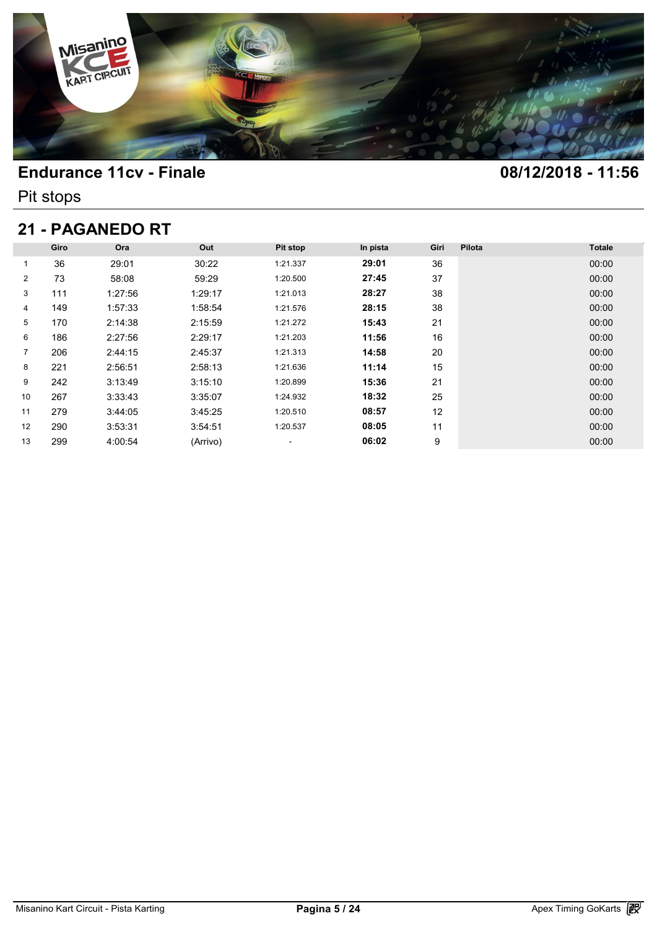

Pit stops

## **21 - PAGANEDO RT**

| 21 - PAGANEDO RT |      |         |          |                          |          |      |        |               |  |  |  |
|------------------|------|---------|----------|--------------------------|----------|------|--------|---------------|--|--|--|
|                  | Giro | Ora     | Out      | Pit stop                 | In pista | Giri | Pilota | <b>Totale</b> |  |  |  |
| 1                | 36   | 29:01   | 30:22    | 1:21.337                 | 29:01    | 36   |        | 00:00         |  |  |  |
| $\overline{2}$   | 73   | 58:08   | 59:29    | 1:20.500                 | 27:45    | 37   |        | 00:00         |  |  |  |
| 3                | 111  | 1:27:56 | 1:29:17  | 1:21.013                 | 28:27    | 38   |        | 00:00         |  |  |  |
| 4                | 149  | 1:57:33 | 1:58:54  | 1:21.576                 | 28:15    | 38   |        | 00:00         |  |  |  |
| 5                | 170  | 2:14:38 | 2:15:59  | 1:21.272                 | 15:43    | 21   |        | 00:00         |  |  |  |
| 6                | 186  | 2:27:56 | 2:29:17  | 1:21.203                 | 11:56    | 16   |        | 00:00         |  |  |  |
| $\overline{7}$   | 206  | 2:44:15 | 2:45:37  | 1:21.313                 | 14:58    | 20   |        | 00:00         |  |  |  |
| 8                | 221  | 2:56:51 | 2:58:13  | 1:21.636                 | 11:14    | 15   |        | 00:00         |  |  |  |
| 9                | 242  | 3:13:49 | 3:15:10  | 1:20.899                 | 15:36    | 21   |        | 00:00         |  |  |  |
| 10               | 267  | 3:33:43 | 3:35:07  | 1:24.932                 | 18:32    | 25   |        | 00:00         |  |  |  |
| 11               | 279  | 3:44:05 | 3:45:25  | 1:20.510                 | 08:57    | 12   |        | 00:00         |  |  |  |
| 12               | 290  | 3:53:31 | 3:54:51  | 1:20.537                 | 08:05    | 11   |        | 00:00         |  |  |  |
| 13               | 299  | 4:00:54 | (Arrivo) | $\overline{\phantom{a}}$ | 06:02    | 9    |        | 00:00         |  |  |  |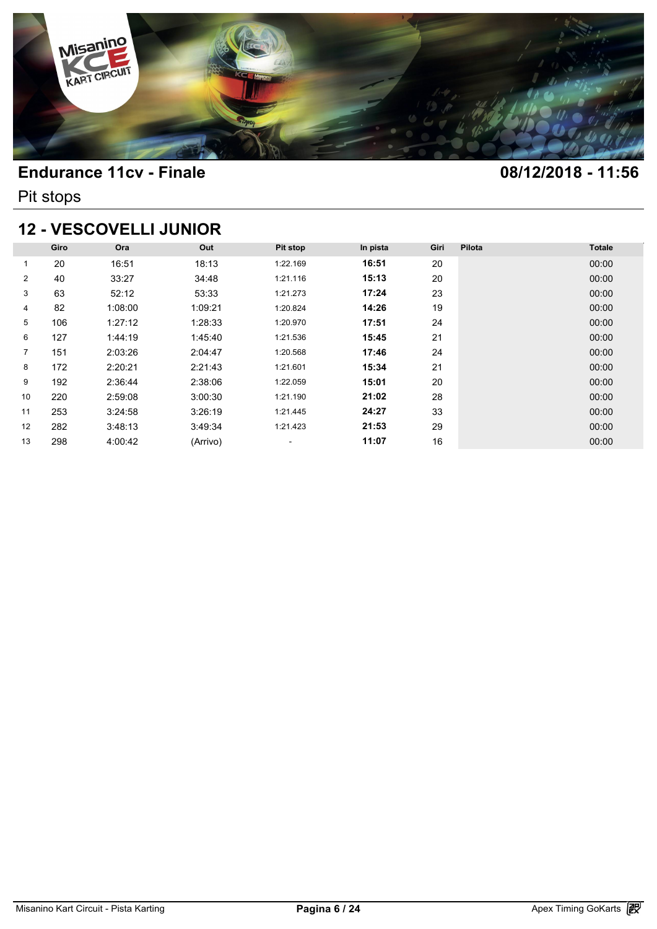

Pit stops

### **12 - VESCOVELLI JUNIOR**

| <b>12 - VESCOVELLI JUNIOR</b> |      |         |          |          |          |      |        |               |  |  |  |
|-------------------------------|------|---------|----------|----------|----------|------|--------|---------------|--|--|--|
|                               | Giro | Ora     | Out      | Pit stop | In pista | Giri | Pilota | <b>Totale</b> |  |  |  |
| 1                             | 20   | 16:51   | 18:13    | 1:22.169 | 16:51    | 20   |        | 00:00         |  |  |  |
| $\overline{2}$                | 40   | 33:27   | 34:48    | 1:21.116 | 15:13    | 20   |        | 00:00         |  |  |  |
| 3                             | 63   | 52:12   | 53:33    | 1:21.273 | 17:24    | 23   |        | 00:00         |  |  |  |
| 4                             | 82   | 1:08:00 | 1:09:21  | 1:20.824 | 14:26    | 19   |        | 00:00         |  |  |  |
| 5                             | 106  | 1:27:12 | 1:28:33  | 1:20.970 | 17:51    | 24   |        | 00:00         |  |  |  |
| 6                             | 127  | 1:44:19 | 1:45:40  | 1:21.536 | 15:45    | 21   |        | 00:00         |  |  |  |
| $\overline{7}$                | 151  | 2:03:26 | 2:04:47  | 1:20.568 | 17:46    | 24   |        | 00:00         |  |  |  |
| 8                             | 172  | 2:20:21 | 2:21:43  | 1:21.601 | 15:34    | 21   |        | 00:00         |  |  |  |
| 9                             | 192  | 2:36:44 | 2:38:06  | 1:22.059 | 15:01    | 20   |        | 00:00         |  |  |  |
| 10                            | 220  | 2:59:08 | 3:00:30  | 1:21.190 | 21:02    | 28   |        | 00:00         |  |  |  |
| 11                            | 253  | 3:24:58 | 3:26:19  | 1:21.445 | 24:27    | 33   |        | 00:00         |  |  |  |
| 12                            | 282  | 3:48:13 | 3:49:34  | 1:21.423 | 21:53    | 29   |        | 00:00         |  |  |  |
| 13                            | 298  | 4:00:42 | (Arrivo) | ۰        | 11:07    | 16   |        | 00:00         |  |  |  |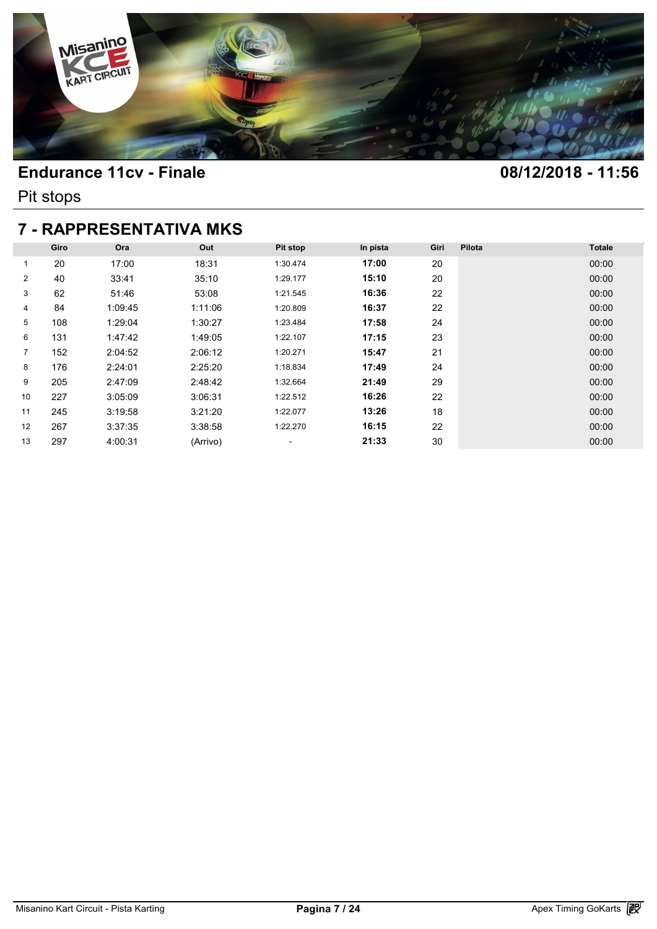

Pit stops

## **7 - RAPPRESENTATIVA MKS**

| <b>7 - RAPPRESENTATIVA MKS</b> |      |         |          |                          |          |      |        |               |  |  |  |
|--------------------------------|------|---------|----------|--------------------------|----------|------|--------|---------------|--|--|--|
|                                | Giro | Ora     | Out      | Pit stop                 | In pista | Giri | Pilota | <b>Totale</b> |  |  |  |
| 1                              | 20   | 17:00   | 18:31    | 1:30.474                 | 17:00    | 20   |        | 00:00         |  |  |  |
| $\overline{2}$                 | 40   | 33:41   | 35:10    | 1:29.177                 | 15:10    | 20   |        | 00:00         |  |  |  |
| 3                              | 62   | 51:46   | 53:08    | 1:21.545                 | 16:36    | 22   |        | 00:00         |  |  |  |
| 4                              | 84   | 1:09:45 | 1:11:06  | 1:20.809                 | 16:37    | 22   |        | 00:00         |  |  |  |
| 5                              | 108  | 1:29:04 | 1:30:27  | 1:23.484                 | 17:58    | 24   |        | 00:00         |  |  |  |
| 6                              | 131  | 1:47:42 | 1:49:05  | 1:22.107                 | 17:15    | 23   |        | 00:00         |  |  |  |
| $\overline{7}$                 | 152  | 2:04:52 | 2:06:12  | 1:20.271                 | 15:47    | 21   |        | 00:00         |  |  |  |
| 8                              | 176  | 2:24:01 | 2:25:20  | 1:18.834                 | 17:49    | 24   |        | 00:00         |  |  |  |
| 9                              | 205  | 2:47:09 | 2:48:42  | 1:32.664                 | 21:49    | 29   |        | 00:00         |  |  |  |
| 10                             | 227  | 3:05:09 | 3:06:31  | 1:22.512                 | 16:26    | 22   |        | 00:00         |  |  |  |
| 11                             | 245  | 3:19:58 | 3:21:20  | 1:22.077                 | 13:26    | 18   |        | 00:00         |  |  |  |
| 12                             | 267  | 3:37:35 | 3:38:58  | 1:22.270                 | 16:15    | 22   |        | 00:00         |  |  |  |
| 13                             | 297  | 4:00:31 | (Arrivo) | $\overline{\phantom{a}}$ | 21:33    | 30   |        | 00:00         |  |  |  |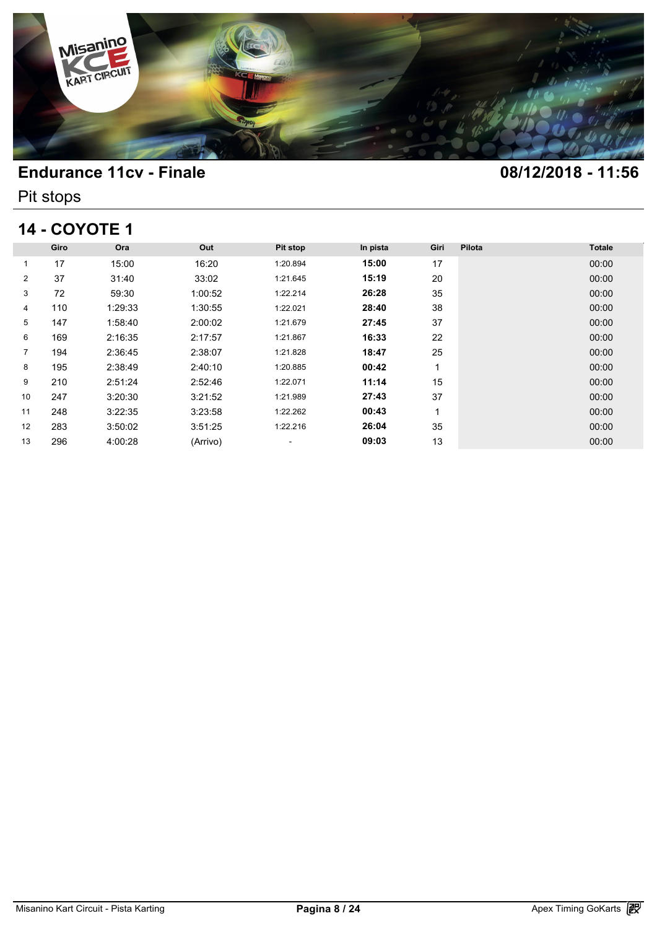

Pit stops

## **14 - COYOTE 1**

| <b>14 - COYOTE 1</b> |      |         |          |                          |          |      |        |               |  |  |  |
|----------------------|------|---------|----------|--------------------------|----------|------|--------|---------------|--|--|--|
|                      | Giro | Ora     | Out      | Pit stop                 | In pista | Giri | Pilota | <b>Totale</b> |  |  |  |
| 1                    | 17   | 15:00   | 16:20    | 1:20.894                 | 15:00    | 17   |        | 00:00         |  |  |  |
| $\overline{2}$       | 37   | 31:40   | 33:02    | 1:21.645                 | 15:19    | 20   |        | 00:00         |  |  |  |
| 3                    | 72   | 59:30   | 1:00:52  | 1:22.214                 | 26:28    | 35   |        | 00:00         |  |  |  |
| 4                    | 110  | 1:29:33 | 1:30:55  | 1:22.021                 | 28:40    | 38   |        | 00:00         |  |  |  |
| 5                    | 147  | 1:58:40 | 2:00:02  | 1:21.679                 | 27:45    | 37   |        | 00:00         |  |  |  |
| 6                    | 169  | 2:16:35 | 2:17:57  | 1:21.867                 | 16:33    | 22   |        | 00:00         |  |  |  |
| $\overline{7}$       | 194  | 2:36:45 | 2:38:07  | 1:21.828                 | 18:47    | 25   |        | 00:00         |  |  |  |
| 8                    | 195  | 2:38:49 | 2:40:10  | 1:20.885                 | 00:42    | 1    |        | 00:00         |  |  |  |
| 9                    | 210  | 2:51:24 | 2:52:46  | 1:22.071                 | 11:14    | 15   |        | 00:00         |  |  |  |
| 10                   | 247  | 3:20:30 | 3:21:52  | 1:21.989                 | 27:43    | 37   |        | 00:00         |  |  |  |
| 11                   | 248  | 3:22:35 | 3:23:58  | 1:22.262                 | 00:43    | 1    |        | 00:00         |  |  |  |
| 12                   | 283  | 3:50:02 | 3:51:25  | 1:22.216                 | 26:04    | 35   |        | 00:00         |  |  |  |
| 13                   | 296  | 4:00:28 | (Arrivo) | $\overline{\phantom{a}}$ | 09:03    | 13   |        | 00:00         |  |  |  |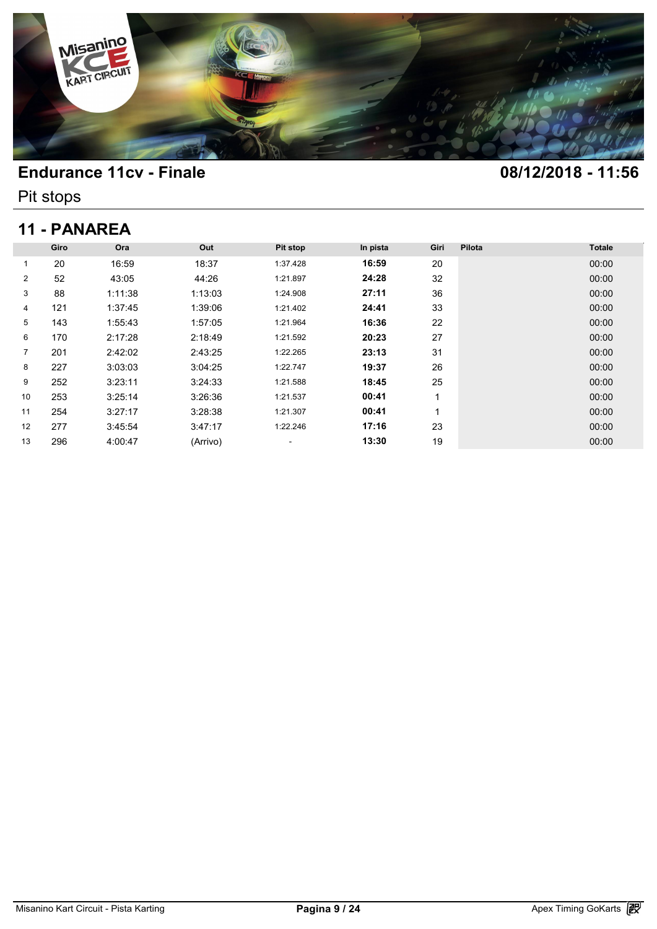

Pit stops

# **11 - PANAREA**

| 11 - PANAREA   |      |         |          |          |          |      |        |               |  |  |  |
|----------------|------|---------|----------|----------|----------|------|--------|---------------|--|--|--|
|                | Giro | Ora     | Out      | Pit stop | In pista | Giri | Pilota | <b>Totale</b> |  |  |  |
| 1              | 20   | 16:59   | 18:37    | 1:37.428 | 16:59    | 20   |        | 00:00         |  |  |  |
| $\overline{2}$ | 52   | 43:05   | 44:26    | 1:21.897 | 24:28    | 32   |        | 00:00         |  |  |  |
| 3              | 88   | 1:11:38 | 1:13:03  | 1:24.908 | 27:11    | 36   |        | 00:00         |  |  |  |
| 4              | 121  | 1:37:45 | 1:39:06  | 1:21.402 | 24:41    | 33   |        | 00:00         |  |  |  |
| 5              | 143  | 1:55:43 | 1:57:05  | 1:21.964 | 16:36    | 22   |        | 00:00         |  |  |  |
| 6              | 170  | 2:17:28 | 2:18:49  | 1:21.592 | 20:23    | 27   |        | 00:00         |  |  |  |
| $\overline{7}$ | 201  | 2:42:02 | 2:43:25  | 1:22.265 | 23:13    | 31   |        | 00:00         |  |  |  |
| 8              | 227  | 3:03:03 | 3:04:25  | 1:22.747 | 19:37    | 26   |        | 00:00         |  |  |  |
| 9              | 252  | 3:23:11 | 3:24:33  | 1:21.588 | 18:45    | 25   |        | 00:00         |  |  |  |
| 10             | 253  | 3:25:14 | 3:26:36  | 1:21.537 | 00:41    | 1    |        | 00:00         |  |  |  |
| 11             | 254  | 3:27:17 | 3:28:38  | 1:21.307 | 00:41    | 1    |        | 00:00         |  |  |  |
| 12             | 277  | 3:45:54 | 3:47:17  | 1:22.246 | 17:16    | 23   |        | 00:00         |  |  |  |
| 13             | 296  | 4:00:47 | (Arrivo) | ٠        | 13:30    | 19   |        | 00:00         |  |  |  |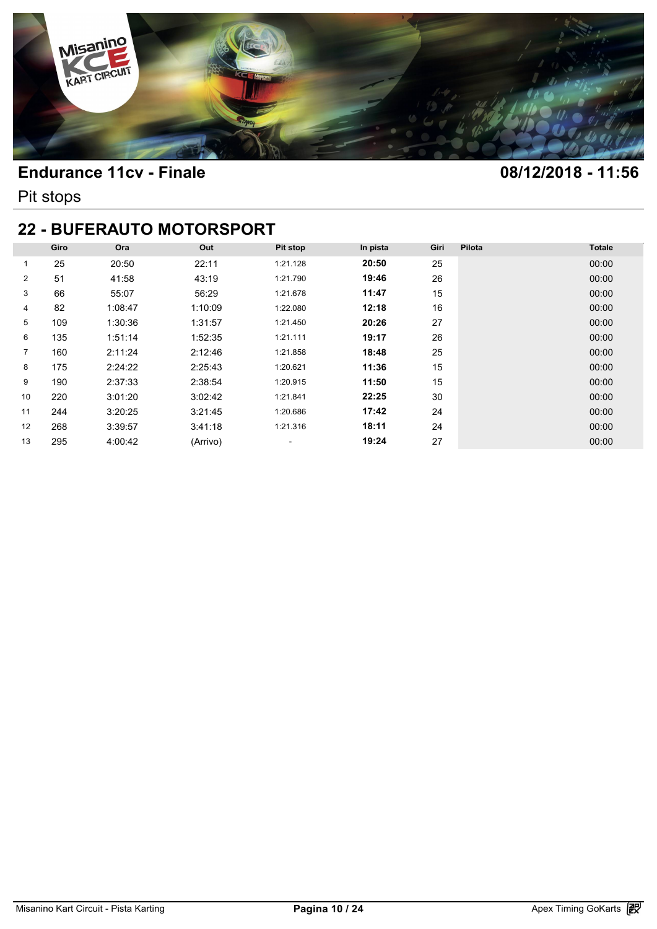

Pit stops

### **22 - BUFERAUTO MOTORSPORT**

| <b>22 - BUFERAUTO MOTORSPORT</b> |      |         |          |                          |          |      |        |               |  |  |  |
|----------------------------------|------|---------|----------|--------------------------|----------|------|--------|---------------|--|--|--|
|                                  | Giro | Ora     | Out      | Pit stop                 | In pista | Giri | Pilota | <b>Totale</b> |  |  |  |
| 1                                | 25   | 20:50   | 22:11    | 1:21.128                 | 20:50    | 25   |        | 00:00         |  |  |  |
| $\overline{2}$                   | 51   | 41:58   | 43:19    | 1:21.790                 | 19:46    | 26   |        | 00:00         |  |  |  |
| 3                                | 66   | 55:07   | 56:29    | 1:21.678                 | 11:47    | 15   |        | 00:00         |  |  |  |
| 4                                | 82   | 1:08:47 | 1:10:09  | 1:22.080                 | 12:18    | 16   |        | 00:00         |  |  |  |
| 5                                | 109  | 1:30:36 | 1:31:57  | 1:21.450                 | 20:26    | 27   |        | 00:00         |  |  |  |
| 6                                | 135  | 1:51:14 | 1:52:35  | 1:21.111                 | 19:17    | 26   |        | 00:00         |  |  |  |
| 7                                | 160  | 2:11:24 | 2:12:46  | 1:21.858                 | 18:48    | 25   |        | 00:00         |  |  |  |
| 8                                | 175  | 2:24:22 | 2:25:43  | 1:20.621                 | 11:36    | 15   |        | 00:00         |  |  |  |
| 9                                | 190  | 2:37:33 | 2:38:54  | 1:20.915                 | 11:50    | 15   |        | 00:00         |  |  |  |
| 10                               | 220  | 3:01:20 | 3:02:42  | 1:21.841                 | 22:25    | 30   |        | 00:00         |  |  |  |
| 11                               | 244  | 3:20:25 | 3:21:45  | 1:20.686                 | 17:42    | 24   |        | 00:00         |  |  |  |
| 12                               | 268  | 3:39:57 | 3:41:18  | 1:21.316                 | 18:11    | 24   |        | 00:00         |  |  |  |
| 13                               | 295  | 4:00:42 | (Arrivo) | $\overline{\phantom{a}}$ | 19:24    | 27   |        | 00:00         |  |  |  |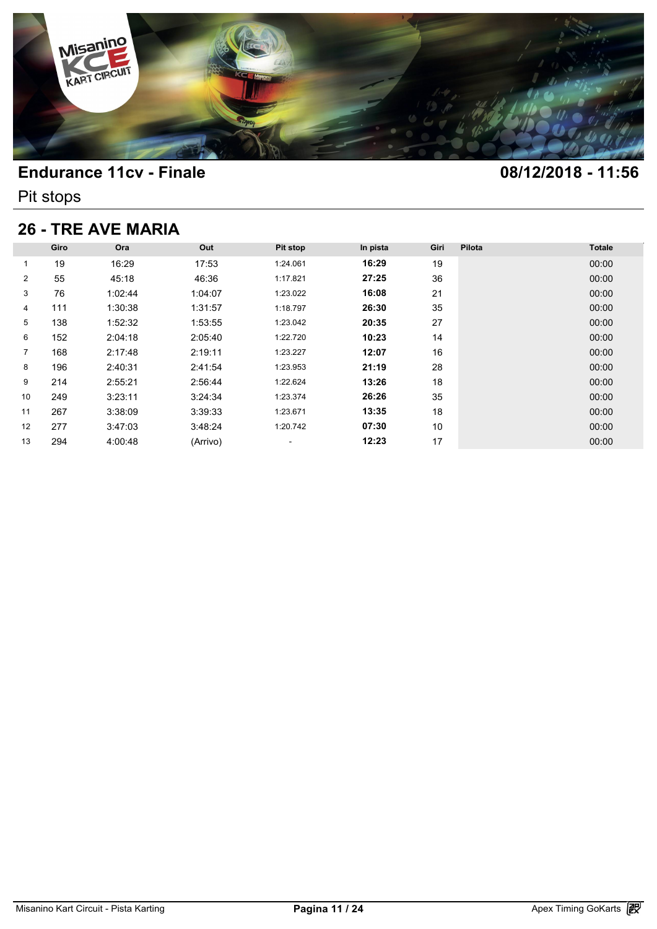

Pit stops

# **26 - TRE AVE MARIA**

| <b>26 - TRE AVE MARIA</b> |      |         |          |                          |          |      |        |               |  |  |
|---------------------------|------|---------|----------|--------------------------|----------|------|--------|---------------|--|--|
|                           | Giro | Ora     | Out      | Pit stop                 | In pista | Giri | Pilota | <b>Totale</b> |  |  |
| 1                         | 19   | 16:29   | 17:53    | 1:24.061                 | 16:29    | 19   |        | 00:00         |  |  |
| $\overline{2}$            | 55   | 45:18   | 46:36    | 1:17.821                 | 27:25    | 36   |        | 00:00         |  |  |
| 3                         | 76   | 1:02:44 | 1:04:07  | 1:23.022                 | 16:08    | 21   |        | 00:00         |  |  |
| 4                         | 111  | 1:30:38 | 1:31:57  | 1:18.797                 | 26:30    | 35   |        | 00:00         |  |  |
| 5                         | 138  | 1:52:32 | 1:53:55  | 1:23.042                 | 20:35    | 27   |        | 00:00         |  |  |
| 6                         | 152  | 2:04:18 | 2:05:40  | 1:22.720                 | 10:23    | 14   |        | 00:00         |  |  |
| $\overline{7}$            | 168  | 2:17:48 | 2:19:11  | 1:23.227                 | 12:07    | 16   |        | 00:00         |  |  |
| 8                         | 196  | 2:40:31 | 2:41:54  | 1:23.953                 | 21:19    | 28   |        | 00:00         |  |  |
| 9                         | 214  | 2:55:21 | 2:56:44  | 1:22.624                 | 13:26    | 18   |        | 00:00         |  |  |
| 10                        | 249  | 3:23:11 | 3:24:34  | 1:23.374                 | 26:26    | 35   |        | 00:00         |  |  |
| 11                        | 267  | 3:38:09 | 3:39:33  | 1:23.671                 | 13:35    | 18   |        | 00:00         |  |  |
| 12                        | 277  | 3:47:03 | 3:48:24  | 1:20.742                 | 07:30    | 10   |        | 00:00         |  |  |
| 13                        | 294  | 4:00:48 | (Arrivo) | $\overline{\phantom{a}}$ | 12:23    | 17   |        | 00:00         |  |  |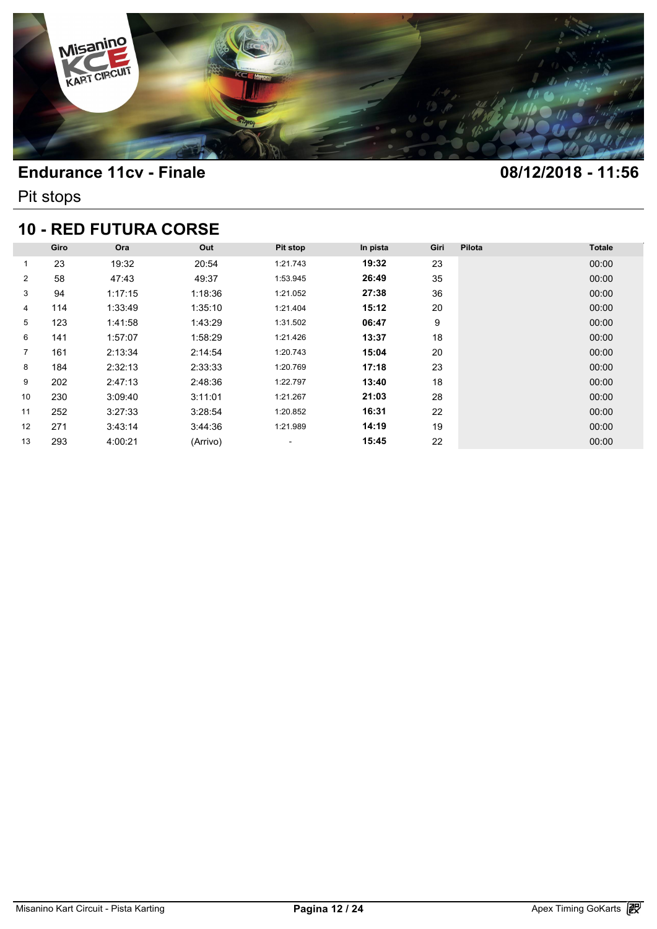

Pit stops

# **10 - RED FUTURA CORSE**

| <b>10 - RED FUTURA CORSE</b> |      |         |          |          |          |      |        |               |  |  |  |
|------------------------------|------|---------|----------|----------|----------|------|--------|---------------|--|--|--|
|                              | Giro | Ora     | Out      | Pit stop | In pista | Giri | Pilota | <b>Totale</b> |  |  |  |
| 1                            | 23   | 19:32   | 20:54    | 1:21.743 | 19:32    | 23   |        | 00:00         |  |  |  |
| $\overline{2}$               | 58   | 47:43   | 49:37    | 1:53.945 | 26:49    | 35   |        | 00:00         |  |  |  |
| 3                            | 94   | 1:17:15 | 1:18:36  | 1:21.052 | 27:38    | 36   |        | 00:00         |  |  |  |
| 4                            | 114  | 1:33:49 | 1:35:10  | 1:21.404 | 15:12    | 20   |        | 00:00         |  |  |  |
| 5                            | 123  | 1:41:58 | 1:43:29  | 1:31.502 | 06:47    | 9    |        | 00:00         |  |  |  |
| 6                            | 141  | 1:57:07 | 1:58:29  | 1:21.426 | 13:37    | 18   |        | 00:00         |  |  |  |
| $\overline{7}$               | 161  | 2:13:34 | 2:14:54  | 1:20.743 | 15:04    | 20   |        | 00:00         |  |  |  |
| 8                            | 184  | 2:32:13 | 2:33:33  | 1:20.769 | 17:18    | 23   |        | 00:00         |  |  |  |
| 9                            | 202  | 2:47:13 | 2:48:36  | 1:22.797 | 13:40    | 18   |        | 00:00         |  |  |  |
| 10                           | 230  | 3:09:40 | 3:11:01  | 1:21.267 | 21:03    | 28   |        | 00:00         |  |  |  |
| 11                           | 252  | 3:27:33 | 3:28:54  | 1:20.852 | 16:31    | 22   |        | 00:00         |  |  |  |
| $12 \overline{ }$            | 271  | 3:43:14 | 3:44:36  | 1:21.989 | 14:19    | 19   |        | 00:00         |  |  |  |
| 13                           | 293  | 4:00:21 | (Arrivo) | ۰        | 15:45    | 22   |        | 00:00         |  |  |  |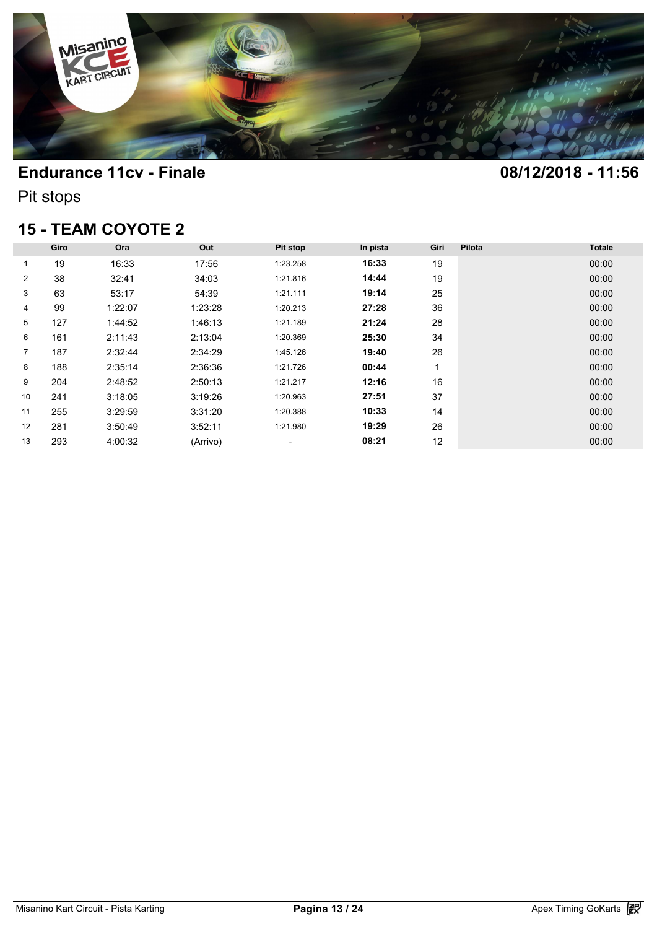

Pit stops

# **15 - TEAM COYOTE 2**

| <b>15 - TEAM COYOTE 2</b> |      |         |          |                          |          |      |        |               |  |  |
|---------------------------|------|---------|----------|--------------------------|----------|------|--------|---------------|--|--|
|                           | Giro | Ora     | Out      | Pit stop                 | In pista | Giri | Pilota | <b>Totale</b> |  |  |
| 1                         | 19   | 16:33   | 17:56    | 1:23.258                 | 16:33    | 19   |        | 00:00         |  |  |
| $\overline{2}$            | 38   | 32:41   | 34:03    | 1:21.816                 | 14:44    | 19   |        | 00:00         |  |  |
| 3                         | 63   | 53:17   | 54:39    | 1:21.111                 | 19:14    | 25   |        | 00:00         |  |  |
| 4                         | 99   | 1:22:07 | 1:23:28  | 1:20.213                 | 27:28    | 36   |        | 00:00         |  |  |
| 5                         | 127  | 1:44:52 | 1:46:13  | 1:21.189                 | 21:24    | 28   |        | 00:00         |  |  |
| 6                         | 161  | 2:11:43 | 2:13:04  | 1:20.369                 | 25:30    | 34   |        | 00:00         |  |  |
| $\overline{7}$            | 187  | 2:32:44 | 2:34:29  | 1:45.126                 | 19:40    | 26   |        | 00:00         |  |  |
| 8                         | 188  | 2:35:14 | 2:36:36  | 1:21.726                 | 00:44    | 1    |        | 00:00         |  |  |
| 9                         | 204  | 2:48:52 | 2:50:13  | 1:21.217                 | 12:16    | 16   |        | 00:00         |  |  |
| 10                        | 241  | 3:18:05 | 3:19:26  | 1:20.963                 | 27:51    | 37   |        | 00:00         |  |  |
| 11                        | 255  | 3:29:59 | 3:31:20  | 1:20.388                 | 10:33    | 14   |        | 00:00         |  |  |
| 12                        | 281  | 3:50:49 | 3:52:11  | 1:21.980                 | 19:29    | 26   |        | 00:00         |  |  |
| 13                        | 293  | 4:00:32 | (Arrivo) | $\overline{\phantom{a}}$ | 08:21    | 12   |        | 00:00         |  |  |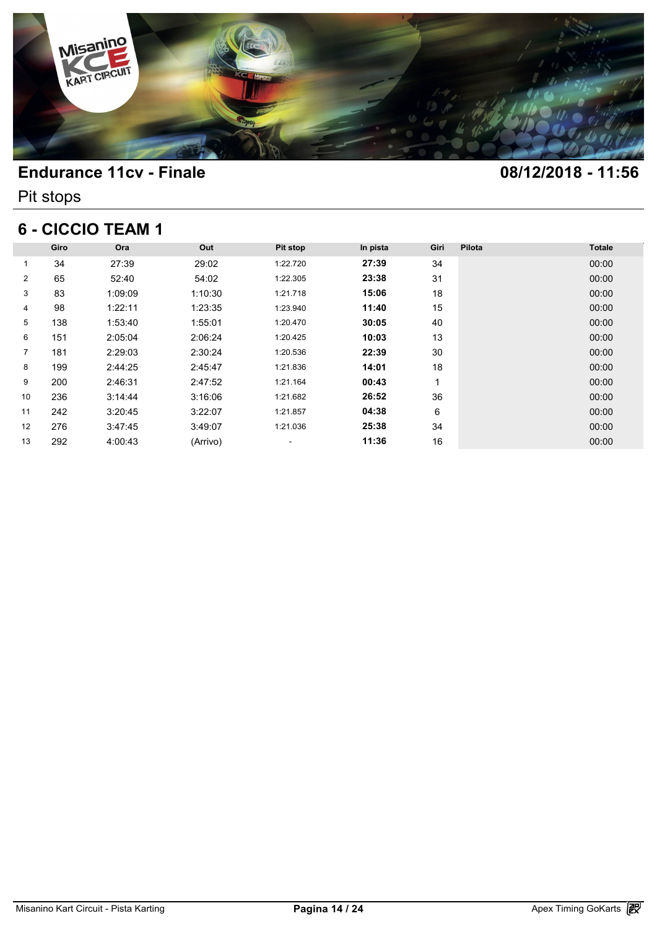

Pit stops

## **6 - CICCIO TEAM 1**

| 6 - CICCIO TEAM 1 |      |         |          |          |          |      |        |               |  |  |
|-------------------|------|---------|----------|----------|----------|------|--------|---------------|--|--|
|                   | Giro | Ora     | Out      | Pit stop | In pista | Giri | Pilota | <b>Totale</b> |  |  |
| 1                 | 34   | 27:39   | 29:02    | 1:22.720 | 27:39    | 34   |        | 00:00         |  |  |
| $\overline{2}$    | 65   | 52:40   | 54:02    | 1:22.305 | 23:38    | 31   |        | 00:00         |  |  |
| 3                 | 83   | 1:09:09 | 1:10:30  | 1:21.718 | 15:06    | 18   |        | 00:00         |  |  |
| 4                 | 98   | 1:22:11 | 1:23:35  | 1:23.940 | 11:40    | 15   |        | 00:00         |  |  |
| 5                 | 138  | 1:53:40 | 1:55:01  | 1:20.470 | 30:05    | 40   |        | 00:00         |  |  |
| 6                 | 151  | 2:05:04 | 2:06:24  | 1:20.425 | 10:03    | 13   |        | 00:00         |  |  |
| $\overline{7}$    | 181  | 2:29:03 | 2:30:24  | 1:20.536 | 22:39    | 30   |        | 00:00         |  |  |
| 8                 | 199  | 2:44:25 | 2:45:47  | 1:21.836 | 14:01    | 18   |        | 00:00         |  |  |
| 9                 | 200  | 2:46:31 | 2:47:52  | 1:21.164 | 00:43    | 1    |        | 00:00         |  |  |
| 10                | 236  | 3:14:44 | 3:16:06  | 1:21.682 | 26:52    | 36   |        | 00:00         |  |  |
| 11                | 242  | 3:20:45 | 3:22:07  | 1:21.857 | 04:38    | 6    |        | 00:00         |  |  |
| 12                | 276  | 3:47:45 | 3:49:07  | 1:21.036 | 25:38    | 34   |        | 00:00         |  |  |
| 13                | 292  | 4:00:43 | (Arrivo) | ۰        | 11:36    | 16   |        | 00:00         |  |  |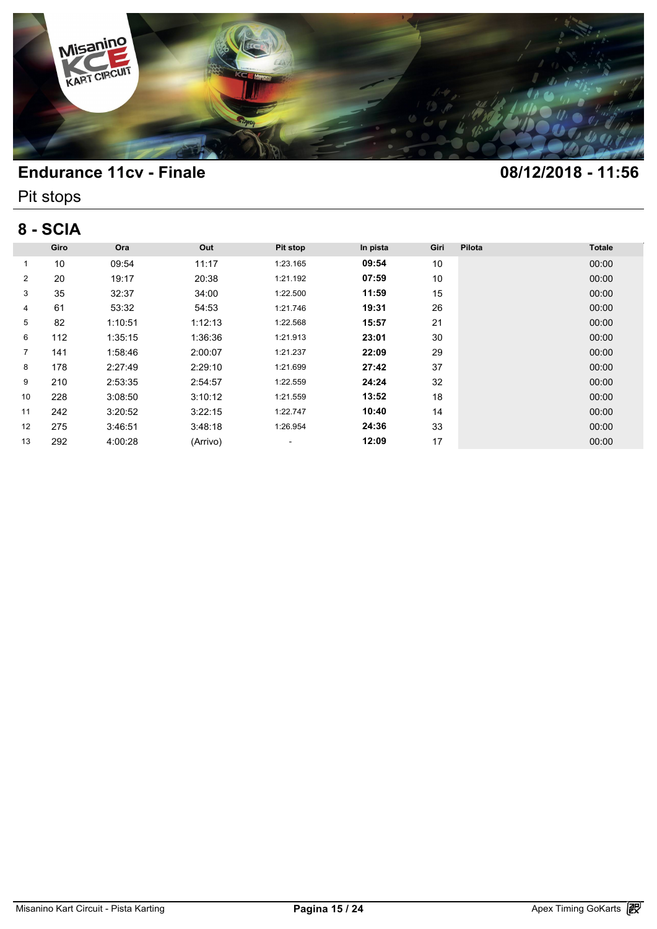

Pit stops

## **8 - SCIA**

| 8 - SCIA       |      |         |          |          |          |      |        |               |  |  |
|----------------|------|---------|----------|----------|----------|------|--------|---------------|--|--|
|                | Giro | Ora     | Out      | Pit stop | In pista | Giri | Pilota | <b>Totale</b> |  |  |
| 1              | 10   | 09:54   | 11:17    | 1:23.165 | 09:54    | 10   |        | 00:00         |  |  |
| $\overline{2}$ | 20   | 19:17   | 20:38    | 1:21.192 | 07:59    | 10   |        | 00:00         |  |  |
| 3              | 35   | 32:37   | 34:00    | 1:22.500 | 11:59    | 15   |        | 00:00         |  |  |
| 4              | 61   | 53:32   | 54:53    | 1:21.746 | 19:31    | 26   |        | 00:00         |  |  |
| 5              | 82   | 1:10:51 | 1:12:13  | 1:22.568 | 15:57    | 21   |        | 00:00         |  |  |
| 6              | 112  | 1:35:15 | 1:36:36  | 1:21.913 | 23:01    | 30   |        | 00:00         |  |  |
| $\overline{7}$ | 141  | 1:58:46 | 2:00:07  | 1:21.237 | 22:09    | 29   |        | 00:00         |  |  |
| 8              | 178  | 2:27:49 | 2:29:10  | 1:21.699 | 27:42    | 37   |        | 00:00         |  |  |
| 9              | 210  | 2:53:35 | 2:54:57  | 1:22.559 | 24:24    | 32   |        | 00:00         |  |  |
| 10             | 228  | 3:08:50 | 3:10:12  | 1:21.559 | 13:52    | 18   |        | 00:00         |  |  |
| 11             | 242  | 3:20:52 | 3:22:15  | 1:22.747 | 10:40    | 14   |        | 00:00         |  |  |
| 12             | 275  | 3:46:51 | 3:48:18  | 1:26.954 | 24:36    | 33   |        | 00:00         |  |  |
| 13             | 292  | 4:00:28 | (Arrivo) | ۰.       | 12:09    | 17   |        | 00:00         |  |  |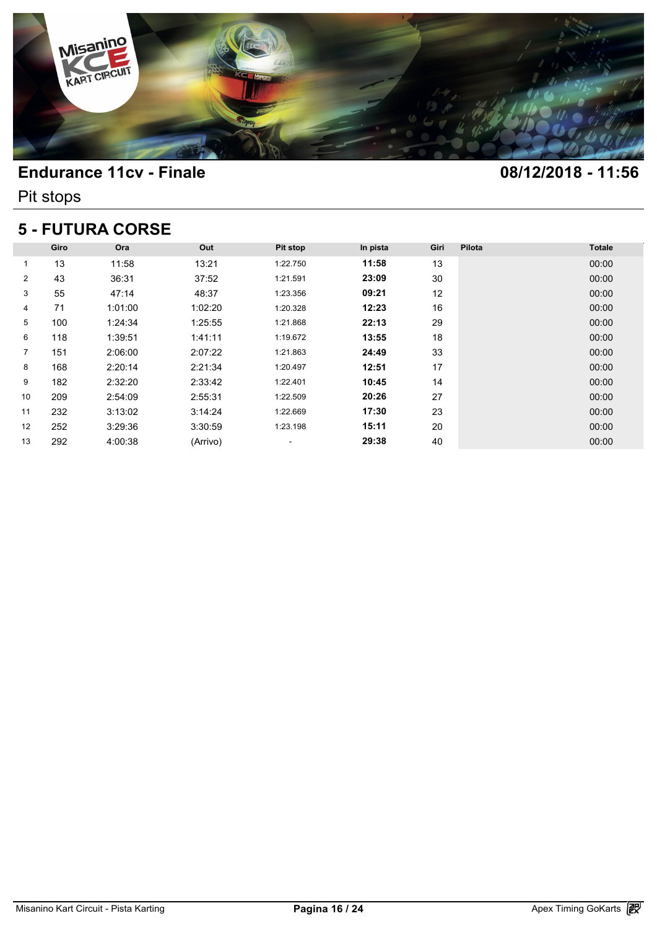

Pit stops

### **5 - FUTURA CORSE**

| <b>5 - FUTURA CORSE</b> |      |         |          |          |          |      |        |               |  |  |  |
|-------------------------|------|---------|----------|----------|----------|------|--------|---------------|--|--|--|
|                         | Giro | Ora     | Out      | Pit stop | In pista | Giri | Pilota | <b>Totale</b> |  |  |  |
| 1                       | 13   | 11:58   | 13:21    | 1:22.750 | 11:58    | 13   |        | 00:00         |  |  |  |
| $\overline{2}$          | 43   | 36:31   | 37:52    | 1:21.591 | 23:09    | 30   |        | 00:00         |  |  |  |
| 3                       | 55   | 47:14   | 48:37    | 1:23.356 | 09:21    | 12   |        | 00:00         |  |  |  |
| 4                       | 71   | 1:01:00 | 1:02:20  | 1:20.328 | 12:23    | 16   |        | 00:00         |  |  |  |
| 5                       | 100  | 1:24:34 | 1:25:55  | 1:21.868 | 22:13    | 29   |        | 00:00         |  |  |  |
| 6                       | 118  | 1:39:51 | 1:41:11  | 1:19.672 | 13:55    | 18   |        | 00:00         |  |  |  |
| $\overline{7}$          | 151  | 2:06:00 | 2:07:22  | 1:21.863 | 24:49    | 33   |        | 00:00         |  |  |  |
| 8                       | 168  | 2:20:14 | 2:21:34  | 1:20.497 | 12:51    | 17   |        | 00:00         |  |  |  |
| 9                       | 182  | 2:32:20 | 2:33:42  | 1:22.401 | 10:45    | 14   |        | 00:00         |  |  |  |
| 10                      | 209  | 2:54:09 | 2:55:31  | 1:22.509 | 20:26    | 27   |        | 00:00         |  |  |  |
| 11                      | 232  | 3:13:02 | 3:14:24  | 1:22.669 | 17:30    | 23   |        | 00:00         |  |  |  |
| 12                      | 252  | 3:29:36 | 3:30:59  | 1:23.198 | 15:11    | 20   |        | 00:00         |  |  |  |
| 13                      | 292  | 4:00:38 | (Arrivo) | ۰        | 29:38    | 40   |        | 00:00         |  |  |  |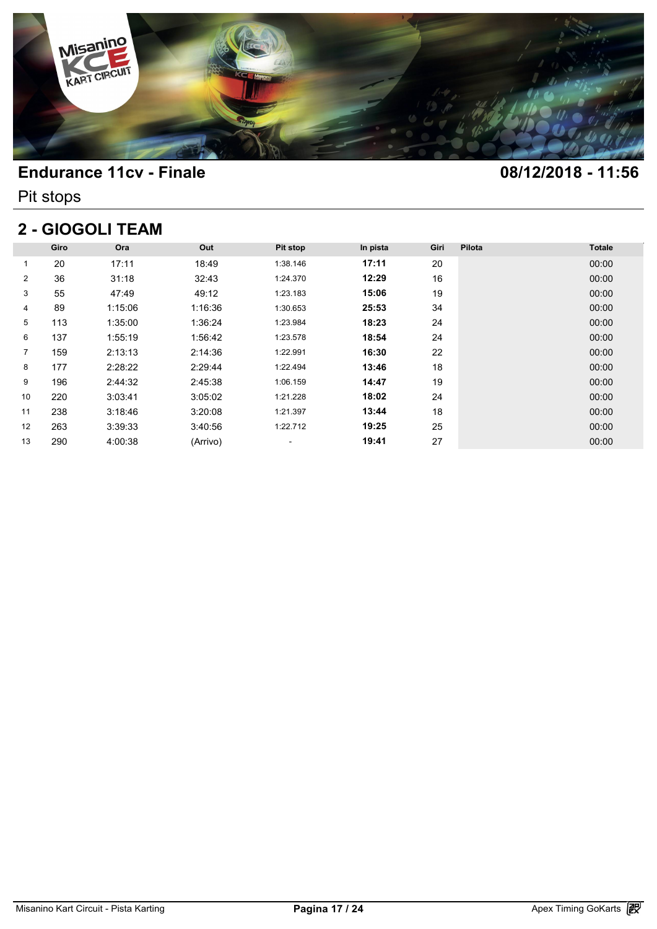

Pit stops

# **2 - GIOGOLI TEAM**

|                | Giro | Ora     | Out      | Pit stop | In pista | Giri | Pilota | <b>Totale</b> |
|----------------|------|---------|----------|----------|----------|------|--------|---------------|
| 1              | 20   | 17:11   | 18:49    | 1:38.146 | 17:11    | 20   |        | 00:00         |
| $\overline{2}$ | 36   | 31:18   | 32:43    | 1:24.370 | 12:29    | 16   |        | 00:00         |
| 3              | 55   | 47:49   | 49:12    | 1:23.183 | 15:06    | 19   |        | 00:00         |
| 4              | 89   | 1:15:06 | 1:16:36  | 1:30.653 | 25:53    | 34   |        | 00:00         |
| 5              | 113  | 1:35:00 | 1:36:24  | 1:23.984 | 18:23    | 24   |        | 00:00         |
| 6              | 137  | 1:55:19 | 1:56:42  | 1:23.578 | 18:54    | 24   |        | 00:00         |
| $\overline{7}$ | 159  | 2:13:13 | 2:14:36  | 1:22.991 | 16:30    | 22   |        | 00:00         |
| 8              | 177  | 2:28:22 | 2:29:44  | 1:22.494 | 13:46    | 18   |        | 00:00         |
| 9              | 196  | 2:44:32 | 2:45:38  | 1:06.159 | 14:47    | 19   |        | 00:00         |
| 10             | 220  | 3:03:41 | 3:05:02  | 1:21.228 | 18:02    | 24   |        | 00:00         |
| 11             | 238  | 3:18:46 | 3:20:08  | 1:21.397 | 13:44    | 18   |        | 00:00         |
| 12             | 263  | 3:39:33 | 3:40:56  | 1:22.712 | 19:25    | 25   |        | 00:00         |
| 13             | 290  | 4:00:38 | (Arrivo) | ۰        | 19:41    | 27   |        | 00:00         |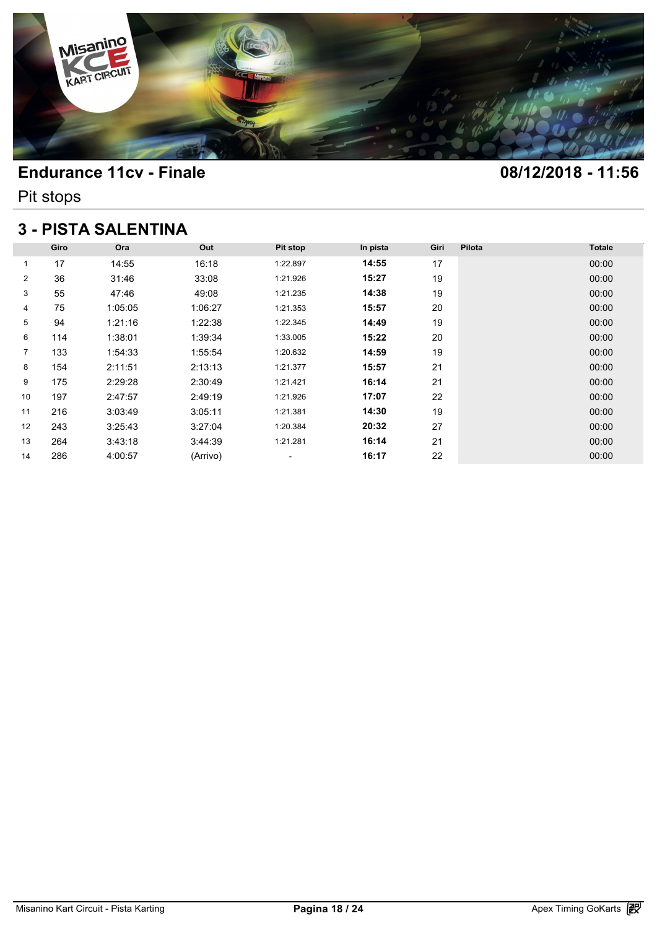

Pit stops

## **3 - PISTA SALENTINA**

| <b>3 - PISTA SALENTINA</b> |      |         |          |          |          |      |        |               |  |  |  |
|----------------------------|------|---------|----------|----------|----------|------|--------|---------------|--|--|--|
|                            | Giro | Ora     | Out      | Pit stop | In pista | Giri | Pilota | <b>Totale</b> |  |  |  |
| 1                          | 17   | 14:55   | 16:18    | 1:22.897 | 14:55    | 17   |        | 00:00         |  |  |  |
| 2                          | 36   | 31:46   | 33:08    | 1:21.926 | 15:27    | 19   |        | 00:00         |  |  |  |
| 3                          | 55   | 47:46   | 49:08    | 1:21.235 | 14:38    | 19   |        | 00:00         |  |  |  |
| 4                          | 75   | 1:05:05 | 1:06:27  | 1:21.353 | 15:57    | 20   |        | 00:00         |  |  |  |
| 5                          | 94   | 1:21:16 | 1:22:38  | 1:22.345 | 14:49    | 19   |        | 00:00         |  |  |  |
| 6                          | 114  | 1:38:01 | 1:39:34  | 1:33.005 | 15:22    | 20   |        | 00:00         |  |  |  |
| $\overline{7}$             | 133  | 1:54:33 | 1:55:54  | 1:20.632 | 14:59    | 19   |        | 00:00         |  |  |  |
| 8                          | 154  | 2:11:51 | 2:13:13  | 1:21.377 | 15:57    | 21   |        | 00:00         |  |  |  |
| 9                          | 175  | 2:29:28 | 2:30:49  | 1:21.421 | 16:14    | 21   |        | 00:00         |  |  |  |
| 10                         | 197  | 2:47:57 | 2:49:19  | 1:21.926 | 17:07    | 22   |        | 00:00         |  |  |  |
| 11                         | 216  | 3:03:49 | 3:05:11  | 1:21.381 | 14:30    | 19   |        | 00:00         |  |  |  |
| $12 \overline{ }$          | 243  | 3:25:43 | 3:27:04  | 1:20.384 | 20:32    | 27   |        | 00:00         |  |  |  |
| 13                         | 264  | 3:43:18 | 3:44:39  | 1:21.281 | 16:14    | 21   |        | 00:00         |  |  |  |
| 14                         | 286  | 4:00:57 | (Arrivo) | ٠        | 16:17    | 22   |        | 00:00         |  |  |  |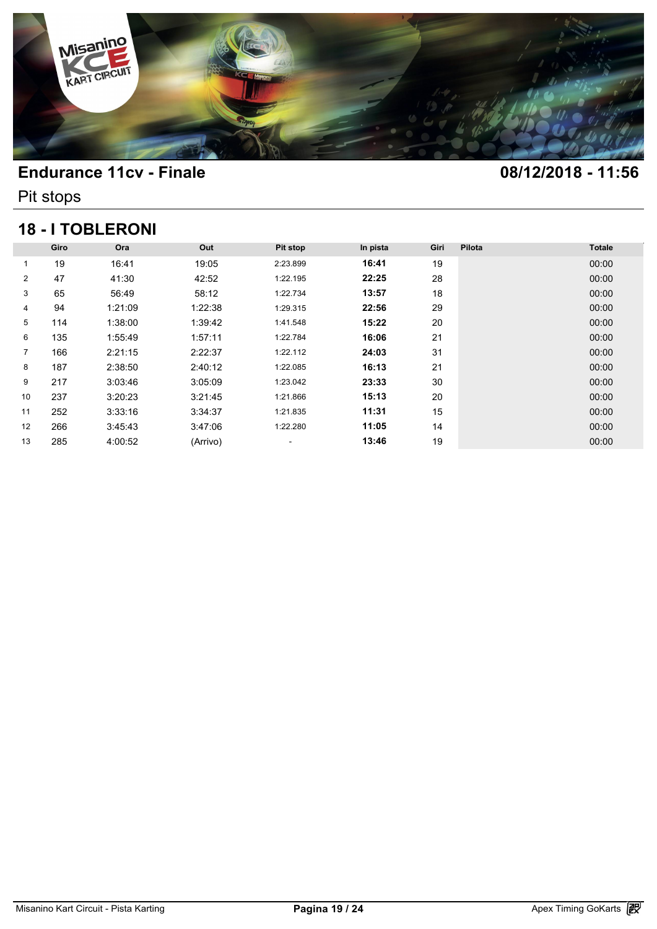

Pit stops

# **18 - I TOBLERONI**

| <b>18 - I TOBLERONI</b> |      |         |          |          |          |      |        |               |  |  |  |
|-------------------------|------|---------|----------|----------|----------|------|--------|---------------|--|--|--|
|                         | Giro | Ora     | Out      | Pit stop | In pista | Giri | Pilota | <b>Totale</b> |  |  |  |
| 1                       | 19   | 16:41   | 19:05    | 2:23.899 | 16:41    | 19   |        | 00:00         |  |  |  |
| $\overline{2}$          | 47   | 41:30   | 42:52    | 1:22.195 | 22:25    | 28   |        | 00:00         |  |  |  |
| 3                       | 65   | 56:49   | 58:12    | 1:22.734 | 13:57    | 18   |        | 00:00         |  |  |  |
| 4                       | 94   | 1:21:09 | 1:22:38  | 1:29.315 | 22:56    | 29   |        | 00:00         |  |  |  |
| 5                       | 114  | 1:38:00 | 1:39:42  | 1:41.548 | 15:22    | 20   |        | 00:00         |  |  |  |
| 6                       | 135  | 1:55:49 | 1:57:11  | 1:22.784 | 16:06    | 21   |        | 00:00         |  |  |  |
| $\overline{7}$          | 166  | 2:21:15 | 2:22:37  | 1:22.112 | 24:03    | 31   |        | 00:00         |  |  |  |
| 8                       | 187  | 2:38:50 | 2:40:12  | 1:22.085 | 16:13    | 21   |        | 00:00         |  |  |  |
| 9                       | 217  | 3:03:46 | 3:05:09  | 1:23.042 | 23:33    | 30   |        | 00:00         |  |  |  |
| 10                      | 237  | 3:20:23 | 3:21:45  | 1:21.866 | 15:13    | 20   |        | 00:00         |  |  |  |
| 11                      | 252  | 3:33:16 | 3:34:37  | 1:21.835 | 11:31    | 15   |        | 00:00         |  |  |  |
| 12                      | 266  | 3:45:43 | 3:47:06  | 1:22.280 | 11:05    | 14   |        | 00:00         |  |  |  |
| 13                      | 285  | 4:00:52 | (Arrivo) | ۰        | 13:46    | 19   |        | 00:00         |  |  |  |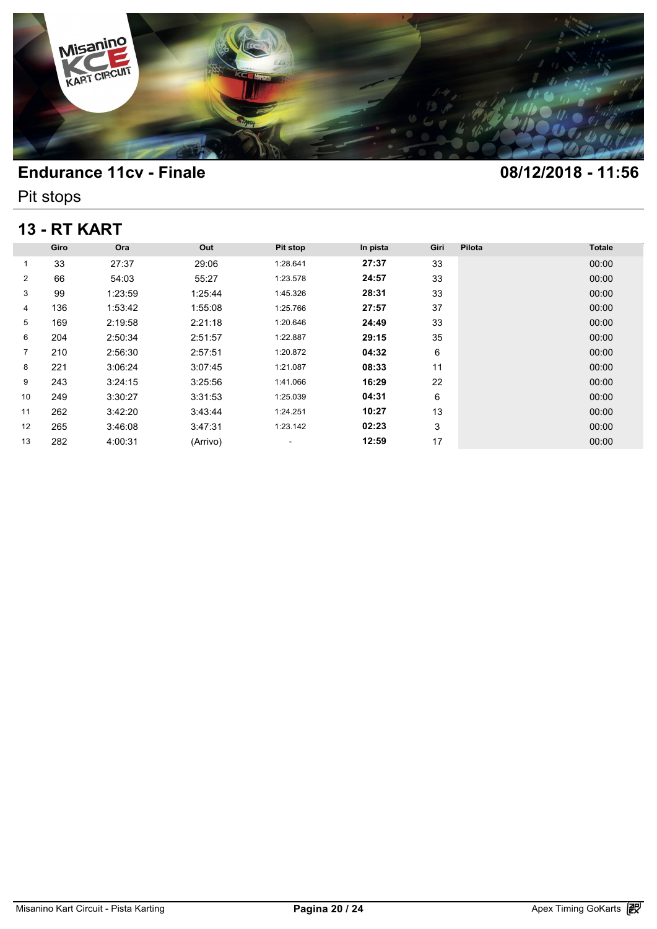

Pit stops

# **13 - RT KART**

| <b>13 - RT KART</b> |      |         |          |          |          |      |        |               |  |  |
|---------------------|------|---------|----------|----------|----------|------|--------|---------------|--|--|
|                     | Giro | Ora     | Out      | Pit stop | In pista | Giri | Pilota | <b>Totale</b> |  |  |
| 1                   | 33   | 27:37   | 29:06    | 1:28.641 | 27:37    | 33   |        | 00:00         |  |  |
| $\overline{2}$      | 66   | 54:03   | 55:27    | 1:23.578 | 24:57    | 33   |        | 00:00         |  |  |
| 3                   | 99   | 1:23:59 | 1:25:44  | 1:45.326 | 28:31    | 33   |        | 00:00         |  |  |
| 4                   | 136  | 1:53:42 | 1:55:08  | 1:25.766 | 27:57    | 37   |        | 00:00         |  |  |
| 5                   | 169  | 2:19:58 | 2:21:18  | 1:20.646 | 24:49    | 33   |        | 00:00         |  |  |
| 6                   | 204  | 2:50:34 | 2:51:57  | 1:22.887 | 29:15    | 35   |        | 00:00         |  |  |
| 7                   | 210  | 2:56:30 | 2:57:51  | 1:20.872 | 04:32    | 6    |        | 00:00         |  |  |
| 8                   | 221  | 3:06:24 | 3:07:45  | 1:21.087 | 08:33    | 11   |        | 00:00         |  |  |
| 9                   | 243  | 3:24:15 | 3:25:56  | 1:41.066 | 16:29    | 22   |        | 00:00         |  |  |
| 10                  | 249  | 3:30:27 | 3:31:53  | 1:25.039 | 04:31    | 6    |        | 00:00         |  |  |
| 11                  | 262  | 3:42:20 | 3:43:44  | 1:24.251 | 10:27    | 13   |        | 00:00         |  |  |
| 12                  | 265  | 3:46:08 | 3:47:31  | 1:23.142 | 02:23    | 3    |        | 00:00         |  |  |
| 13                  | 282  | 4:00:31 | (Arrivo) | ۰        | 12:59    | 17   |        | 00:00         |  |  |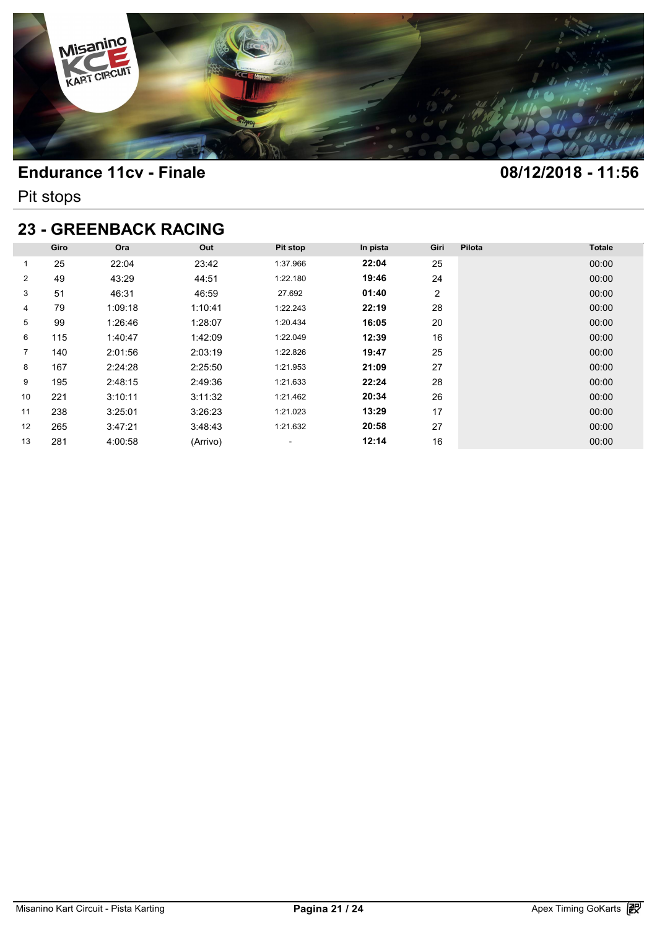

Pit stops

# **23 - GREENBACK RACING**

| <b>23 - GREENBACK RACING</b> |      |         |          |                          |          |      |        |               |  |  |  |
|------------------------------|------|---------|----------|--------------------------|----------|------|--------|---------------|--|--|--|
|                              | Giro | Ora     | Out      | Pit stop                 | In pista | Giri | Pilota | <b>Totale</b> |  |  |  |
| 1                            | 25   | 22:04   | 23:42    | 1:37.966                 | 22:04    | 25   |        | 00:00         |  |  |  |
| $\overline{2}$               | 49   | 43:29   | 44:51    | 1:22.180                 | 19:46    | 24   |        | 00:00         |  |  |  |
| 3                            | 51   | 46:31   | 46:59    | 27.692                   | 01:40    | 2    |        | 00:00         |  |  |  |
| 4                            | 79   | 1:09:18 | 1:10:41  | 1:22.243                 | 22:19    | 28   |        | 00:00         |  |  |  |
| 5                            | 99   | 1:26:46 | 1:28:07  | 1:20.434                 | 16:05    | 20   |        | 00:00         |  |  |  |
| 6                            | 115  | 1:40:47 | 1:42:09  | 1:22.049                 | 12:39    | 16   |        | 00:00         |  |  |  |
| $\overline{7}$               | 140  | 2:01:56 | 2:03:19  | 1:22.826                 | 19:47    | 25   |        | 00:00         |  |  |  |
| 8                            | 167  | 2:24:28 | 2:25:50  | 1:21.953                 | 21:09    | 27   |        | 00:00         |  |  |  |
| 9                            | 195  | 2:48:15 | 2:49:36  | 1:21.633                 | 22:24    | 28   |        | 00:00         |  |  |  |
| 10                           | 221  | 3:10:11 | 3:11:32  | 1:21.462                 | 20:34    | 26   |        | 00:00         |  |  |  |
| 11                           | 238  | 3:25:01 | 3:26:23  | 1:21.023                 | 13:29    | 17   |        | 00:00         |  |  |  |
| 12                           | 265  | 3:47:21 | 3:48:43  | 1:21.632                 | 20:58    | 27   |        | 00:00         |  |  |  |
| 13                           | 281  | 4:00:58 | (Arrivo) | $\overline{\phantom{a}}$ | 12:14    | 16   |        | 00:00         |  |  |  |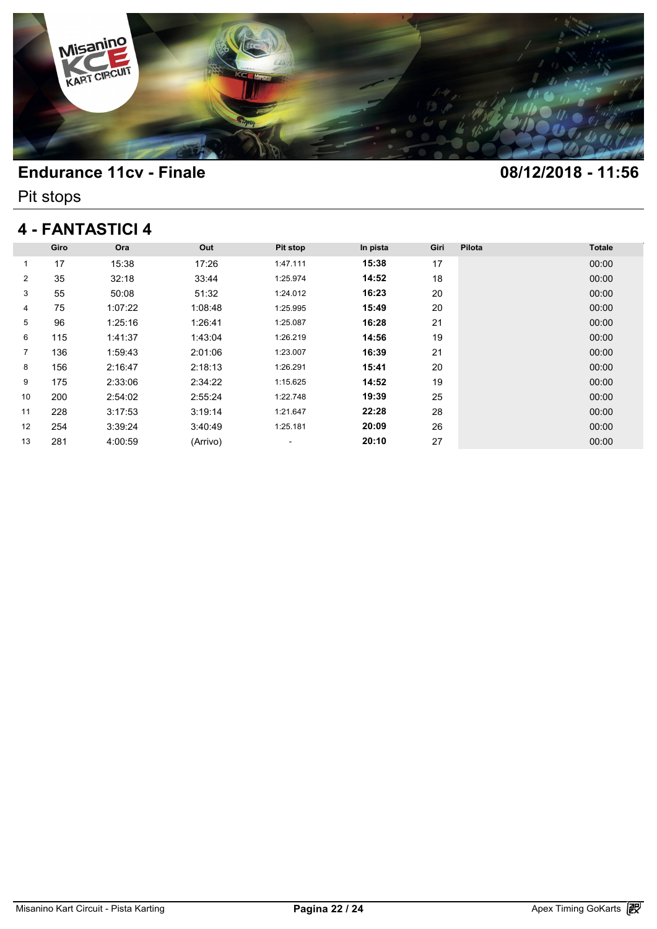

Pit stops

## **4 - FANTASTICI 4**

|                | Giro | Ora     | Out      | Pit stop | In pista | Giri | Pilota | <b>Totale</b> |
|----------------|------|---------|----------|----------|----------|------|--------|---------------|
| 1              | 17   | 15:38   | 17:26    | 1:47.111 | 15:38    | 17   |        | 00:00         |
| $\overline{2}$ | 35   | 32:18   | 33:44    | 1:25.974 | 14:52    | 18   |        | 00:00         |
| 3              | 55   | 50:08   | 51:32    | 1:24.012 | 16:23    | 20   |        | 00:00         |
| 4              | 75   | 1:07:22 | 1:08:48  | 1:25.995 | 15:49    | 20   |        | 00:00         |
| 5              | 96   | 1:25:16 | 1:26:41  | 1:25.087 | 16:28    | 21   |        | 00:00         |
| 6              | 115  | 1:41:37 | 1:43:04  | 1:26.219 | 14:56    | 19   |        | 00:00         |
| $\overline{7}$ | 136  | 1:59:43 | 2:01:06  | 1:23.007 | 16:39    | 21   |        | 00:00         |
| 8              | 156  | 2:16:47 | 2:18:13  | 1:26.291 | 15:41    | 20   |        | 00:00         |
| 9              | 175  | 2:33:06 | 2:34:22  | 1:15.625 | 14:52    | 19   |        | 00:00         |
| 10             | 200  | 2:54:02 | 2:55:24  | 1:22.748 | 19:39    | 25   |        | 00:00         |
| 11             | 228  | 3:17:53 | 3:19:14  | 1:21.647 | 22:28    | 28   |        | 00:00         |
| 12             | 254  | 3:39:24 | 3:40:49  | 1:25.181 | 20:09    | 26   |        | 00:00         |
| 13             | 281  | 4:00:59 | (Arrivo) | ٠        | 20:10    | 27   |        | 00:00         |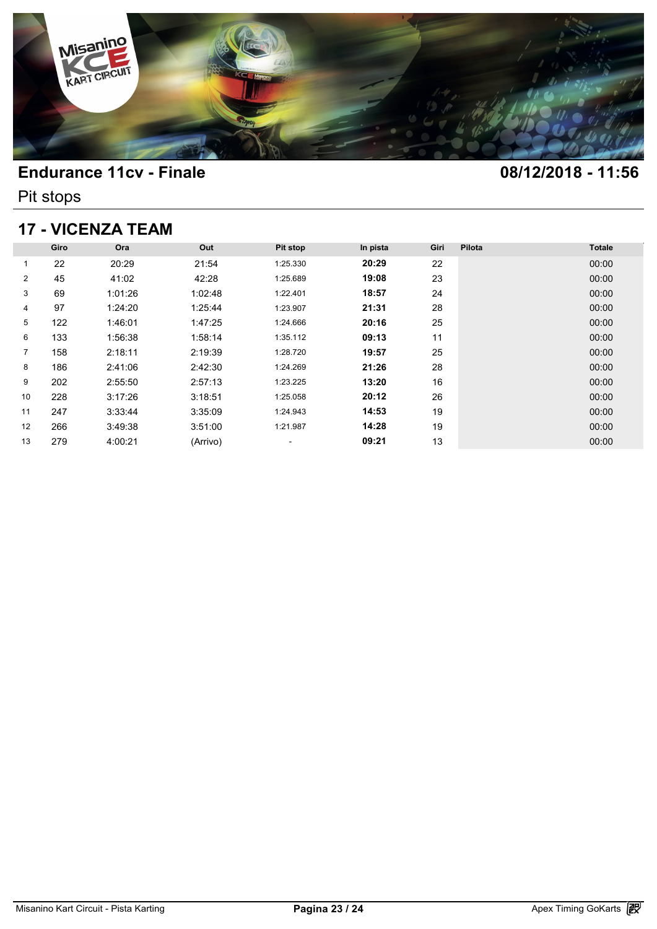

Pit stops

### **17 - VICENZA TEAM**

| <b>17 - VICENZA TEAM</b> |      |         |          |          |          |      |        |               |  |  |  |
|--------------------------|------|---------|----------|----------|----------|------|--------|---------------|--|--|--|
|                          | Giro | Ora     | Out      | Pit stop | In pista | Giri | Pilota | <b>Totale</b> |  |  |  |
| 1                        | 22   | 20:29   | 21:54    | 1:25.330 | 20:29    | 22   |        | 00:00         |  |  |  |
| $\overline{2}$           | 45   | 41:02   | 42:28    | 1:25.689 | 19:08    | 23   |        | 00:00         |  |  |  |
| 3                        | 69   | 1:01:26 | 1:02:48  | 1:22.401 | 18:57    | 24   |        | 00:00         |  |  |  |
| 4                        | 97   | 1:24:20 | 1:25:44  | 1:23.907 | 21:31    | 28   |        | 00:00         |  |  |  |
| 5                        | 122  | 1:46:01 | 1:47:25  | 1:24.666 | 20:16    | 25   |        | 00:00         |  |  |  |
| 6                        | 133  | 1:56:38 | 1:58:14  | 1:35.112 | 09:13    | 11   |        | 00:00         |  |  |  |
| $\overline{7}$           | 158  | 2:18:11 | 2:19:39  | 1:28.720 | 19:57    | 25   |        | 00:00         |  |  |  |
| 8                        | 186  | 2:41:06 | 2:42:30  | 1:24.269 | 21:26    | 28   |        | 00:00         |  |  |  |
| 9                        | 202  | 2:55:50 | 2:57:13  | 1:23.225 | 13:20    | 16   |        | 00:00         |  |  |  |
| 10                       | 228  | 3:17:26 | 3:18:51  | 1:25.058 | 20:12    | 26   |        | 00:00         |  |  |  |
| 11                       | 247  | 3:33:44 | 3:35:09  | 1:24.943 | 14:53    | 19   |        | 00:00         |  |  |  |
| 12                       | 266  | 3:49:38 | 3:51:00  | 1:21.987 | 14:28    | 19   |        | 00:00         |  |  |  |
| 13                       | 279  | 4:00:21 | (Arrivo) | ۰        | 09:21    | 13   |        | 00:00         |  |  |  |